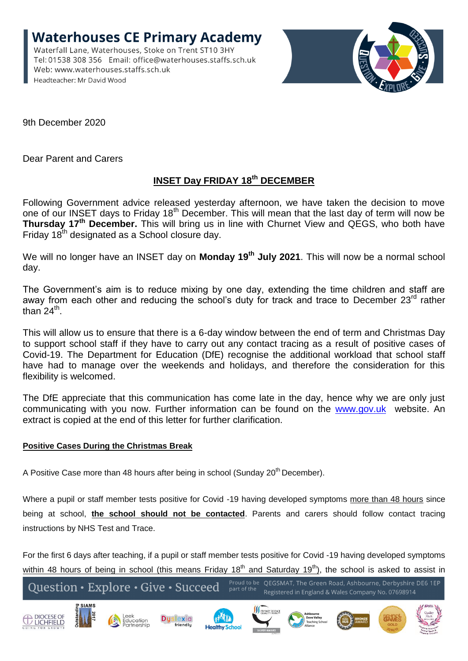**Waterhouses CE Primary Academy** Waterfall Lane, Waterhouses, Stoke on Trent ST10 3HY Tel: 01538 308 356 Email: office@waterhouses.staffs.sch.uk Web: www.waterhouses.staffs.sch.uk Headteacher: Mr David Wood



9th December 2020

Dear Parent and Carers

## **INSET Day FRIDAY 18th DECEMBER**

Following Government advice released yesterday afternoon, we have taken the decision to move one of our INSET days to Friday 18<sup>th</sup> December. This will mean that the last day of term will now be **Thursday 17th December.** This will bring us in line with Churnet View and QEGS, who both have Friday 18<sup>th</sup> designated as a School closure day.

We will no longer have an INSET day on **Monday 19th July 2021**. This will now be a normal school day.

The Government's aim is to reduce mixing by one day, extending the time children and staff are away from each other and reducing the school's duty for track and trace to December 23<sup>rd</sup> rather than 24<sup>th</sup>.

This will allow us to ensure that there is a 6-day window between the end of term and Christmas Day to support school staff if they have to carry out any contact tracing as a result of positive cases of Covid-19. The Department for Education (DfE) recognise the additional workload that school staff have had to manage over the weekends and holidays, and therefore the consideration for this flexibility is welcomed.

The DfE appreciate that this communication has come late in the day, hence why we are only just communicating with you now. Further information can be found on the [www.gov.uk](about:blank) website. An extract is copied at the end of this letter for further clarification.

## **Positive Cases During the Christmas Break**

A Positive Case more than 48 hours after being in school (Sunday 20<sup>th</sup> December).

Where a pupil or staff member tests positive for Covid -19 having developed symptoms more than 48 hours since being at school, **the school should not be contacted**. Parents and carers should follow contact tracing instructions by NHS Test and Trace.

For the first 6 days after teaching, if a pupil or staff member tests positive for Covid -19 having developed symptoms within 48 hours of being in school (this means Friday  $18<sup>th</sup>$  and Saturday  $19<sup>th</sup>$ ), the school is asked to assist in

Proud to be OFGSMAT. The Green Road, Ashbourne, Derbyshire DF6 1FP Question · Explore · Give · Succeed Registered in England & Wales Company No. 07698914